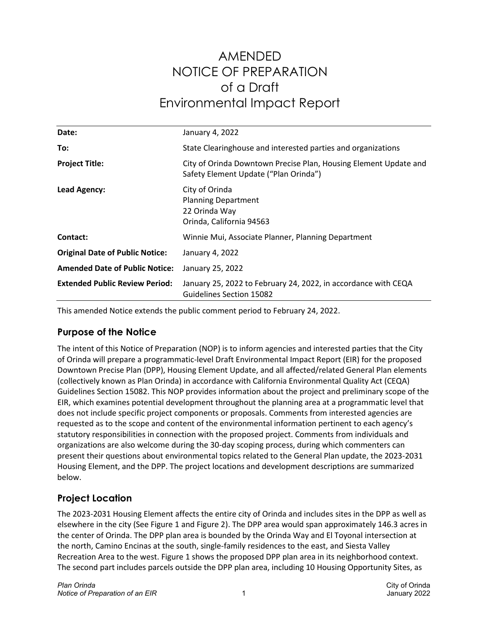# AMENDED NOTICE OF PREPARATION of a Draft Environmental Impact Report

| Date:                                  | January 4, 2022                                                                                           |
|----------------------------------------|-----------------------------------------------------------------------------------------------------------|
|                                        |                                                                                                           |
| To:                                    | State Clearinghouse and interested parties and organizations                                              |
| <b>Project Title:</b>                  | City of Orinda Downtown Precise Plan, Housing Element Update and<br>Safety Element Update ("Plan Orinda") |
| <b>Lead Agency:</b>                    | City of Orinda<br><b>Planning Department</b><br>22 Orinda Way<br>Orinda, California 94563                 |
| Contact:                               | Winnie Mui, Associate Planner, Planning Department                                                        |
| <b>Original Date of Public Notice:</b> | January 4, 2022                                                                                           |
| <b>Amended Date of Public Notice:</b>  | January 25, 2022                                                                                          |
| <b>Extended Public Review Period:</b>  | January 25, 2022 to February 24, 2022, in accordance with CEQA<br><b>Guidelines Section 15082</b>         |

This amended Notice extends the public comment period to February 24, 2022.

# **Purpose of the Notice**

The intent of this Notice of Preparation (NOP) is to inform agencies and interested parties that the City of Orinda will prepare a programmatic-level Draft Environmental Impact Report (EIR) for the proposed Downtown Precise Plan (DPP), Housing Element Update, and all affected/related General Plan elements (collectively known as Plan Orinda) in accordance with California Environmental Quality Act (CEQA) Guidelines Section 15082. This NOP provides information about the project and preliminary scope of the EIR, which examines potential development throughout the planning area at a programmatic level that does not include specific project components or proposals. Comments from interested agencies are requested as to the scope and content of the environmental information pertinent to each agency's statutory responsibilities in connection with the proposed project. Comments from individuals and organizations are also welcome during the 30-day scoping process, during which commenters can present their questions about environmental topics related to the General Plan update, the 2023-2031 Housing Element, and the DPP. The project locations and development descriptions are summarized below.

# **Project Location**

The 2023-2031 Housing Element affects the entire city of Orinda and includes sites in the DPP as well as elsewhere in the city (See Figure 1 and Figure 2). The DPP area would span approximately 146.3 acres in the center of Orinda. The DPP plan area is bounded by the Orinda Way and El Toyonal intersection at the north, Camino Encinas at the south, single-family residences to the east, and Siesta Valley Recreation Area to the west. Figure 1 shows the proposed DPP plan area in its neighborhood context. The second part includes parcels outside the DPP plan area, including 10 Housing Opportunity Sites, as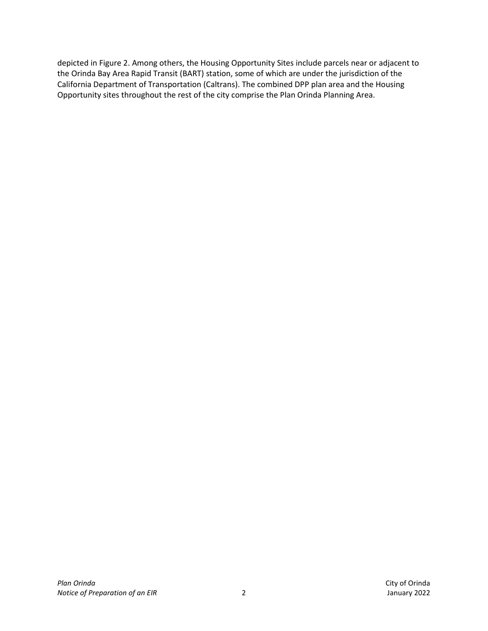depicted in Figure 2. Among others, the Housing Opportunity Sites include parcels near or adjacent to the Orinda Bay Area Rapid Transit (BART) station, some of which are under the jurisdiction of the California Department of Transportation (Caltrans). The combined DPP plan area and the Housing Opportunity sites throughout the rest of the city comprise the Plan Orinda Planning Area.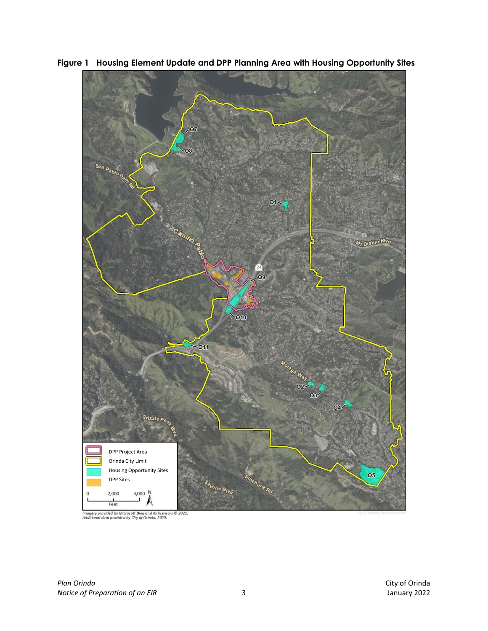

<span id="page-2-0"></span>**Figure 1 Housing Element Update and DPP Planning Area with Housing Opportunity Sites**

Imagery provided by Microsoft Bing and its licensors © 2021.<br>Additional data provided by City of Orinda, 2020.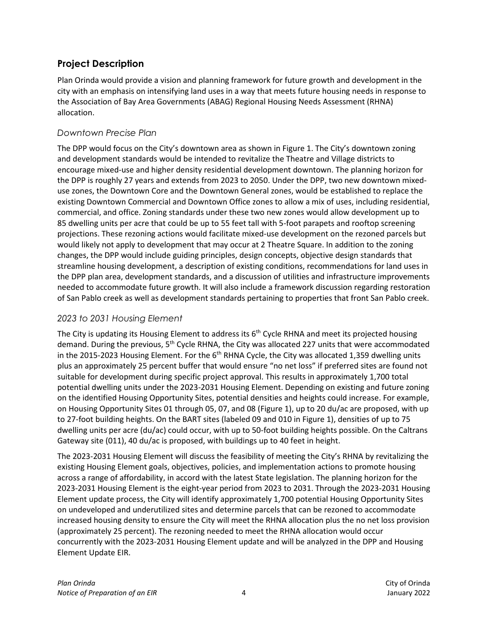# **Project Description**

Plan Orinda would provide a vision and planning framework for future growth and development in the city with an emphasis on intensifying land uses in a way that meets future housing needs in response to the Association of Bay Area Governments (ABAG) Regional Housing Needs Assessment (RHNA) allocation.

#### *Downtown Precise Plan*

The DPP would focus on the City's downtown area as shown in Figure 1. The City's downtown zoning and development standards would be intended to revitalize the Theatre and Village districts to encourage mixed-use and higher density residential development downtown. The planning horizon for the DPP is roughly 27 years and extends from 2023 to 2050. Under the DPP, two new downtown mixeduse zones, the Downtown Core and the Downtown General zones, would be established to replace the existing Downtown Commercial and Downtown Office zones to allow a mix of uses, including residential, commercial, and office. Zoning standards under these two new zones would allow development up to 85 dwelling units per acre that could be up to 55 feet tall with 5-foot parapets and rooftop screening projections. These rezoning actions would facilitate mixed-use development on the rezoned parcels but would likely not apply to development that may occur at 2 Theatre Square. In addition to the zoning changes, the DPP would include guiding principles, design concepts, objective design standards that streamline housing development, a description of existing conditions, recommendations for land uses in the DPP plan area, development standards, and a discussion of utilities and infrastructure improvements needed to accommodate future growth. It will also include a framework discussion regarding restoration of San Pablo creek as well as development standards pertaining to properties that front San Pablo creek.

#### *2023 to 2031 Housing Element*

The City is updating its Housing Element to address its 6<sup>th</sup> Cycle RHNA and meet its projected housing demand. During the previous, 5<sup>th</sup> Cycle RHNA, the City was allocated 227 units that were accommodated in the 2015-2023 Housing Element. For the 6<sup>th</sup> RHNA Cycle, the City was allocated 1,359 dwelling units plus an approximately 25 percent buffer that would ensure "no net loss" if preferred sites are found not suitable for development during specific project approval. This results in approximately 1,700 total potential dwelling units under the 2023-2031 Housing Element. Depending on existing and future zoning on the identified Housing Opportunity Sites, potential densities and heights could increase. For example, on Housing Opportunity Sites 01 through 05, 07, and 08 [\(Figure 1\)](#page-2-0), up to 20 du/ac are proposed, with up to 27-foot building heights. On the BART sites (labeled 09 and 010 i[n Figure 1\)](#page-2-0), densities of up to 75 dwelling units per acre (du/ac) could occur, with up to 50-foot building heights possible. On the Caltrans Gateway site (011), 40 du/ac is proposed, with buildings up to 40 feet in height.

The 2023-2031 Housing Element will discuss the feasibility of meeting the City's RHNA by revitalizing the existing Housing Element goals, objectives, policies, and implementation actions to promote housing across a range of affordability, in accord with the latest State legislation. The planning horizon for the 2023-2031 Housing Element is the eight-year period from 2023 to 2031. Through the 2023-2031 Housing Element update process, the City will identify approximately 1,700 potential Housing Opportunity Sites on undeveloped and underutilized sites and determine parcels that can be rezoned to accommodate increased housing density to ensure the City will meet the RHNA allocation plus the no net loss provision (approximately 25 percent). The rezoning needed to meet the RHNA allocation would occur concurrently with the 2023-2031 Housing Element update and will be analyzed in the DPP and Housing Element Update EIR.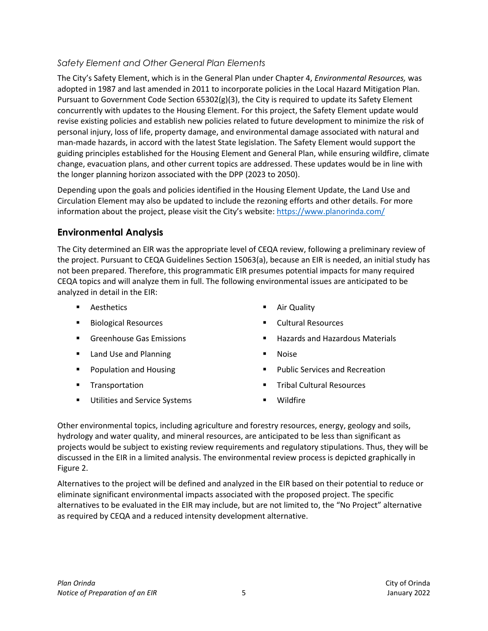## *Safety Element and Other General Plan Elements*

The City's Safety Element, which is in the General Plan under Chapter 4, *Environmental Resources,* was adopted in 1987 and last amended in 2011 to incorporate policies in the Local Hazard Mitigation Plan. Pursuant to Government Code Section 65302(g)(3), the City is required to update its Safety Element concurrently with updates to the Housing Element. For this project, the Safety Element update would revise existing policies and establish new policies related to future development to minimize the risk of personal injury, loss of life, property damage, and environmental damage associated with natural and man-made hazards, in accord with the latest State legislation. The Safety Element would support the guiding principles established for the Housing Element and General Plan, while ensuring wildfire, climate change, evacuation plans, and other current topics are addressed. These updates would be in line with the longer planning horizon associated with the DPP (2023 to 2050).

Depending upon the goals and policies identified in the Housing Element Update, the Land Use and Circulation Element may also be updated to include the rezoning efforts and other details. For more information about the project, please visit the City's website:<https://www.planorinda.com/>

## **Environmental Analysis**

The City determined an EIR was the appropriate level of CEQA review, following a preliminary review of the project. Pursuant to CEQA Guidelines Section 15063(a), because an EIR is needed, an initial study has not been prepared. Therefore, this programmatic EIR presumes potential impacts for many required CEQA topics and will analyze them in full. The following environmental issues are anticipated to be analyzed in detail in the EIR:

- 
- Biological Resources Cultural Resources
- 
- Land Use and Planning Noise Noise
- 
- 
- Utilities and Service Systems **Table 10 and Service Systems Table 10 and Service Systems**
- Aesthetics **Australia Except** Air Quality
	-
- **EXECTE:** Greenhouse Gas Emissions **ACCC EXECTE:** Accept Materials **Materials Hazardous Materials** 
	-
- **Population and Housing Community Community** Public Services and Recreation
- Transportation **Transportation** Tribal Cultural Resources
	-

Other environmental topics, including agriculture and forestry resources, energy, geology and soils, hydrology and water quality, and mineral resources, are anticipated to be less than significant as projects would be subject to existing review requirements and regulatory stipulations. Thus, they will be discussed in the EIR in a limited analysis. The environmental review process is depicted graphically in Figure 2.

Alternatives to the project will be defined and analyzed in the EIR based on their potential to reduce or eliminate significant environmental impacts associated with the proposed project. The specific alternatives to be evaluated in the EIR may include, but are not limited to, the "No Project" alternative as required by CEQA and a reduced intensity development alternative.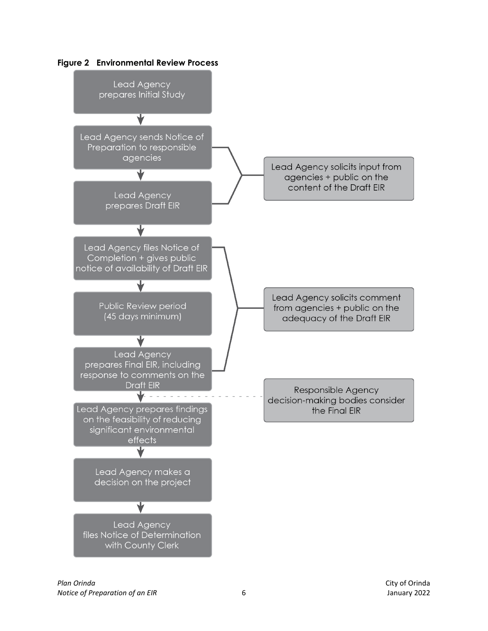